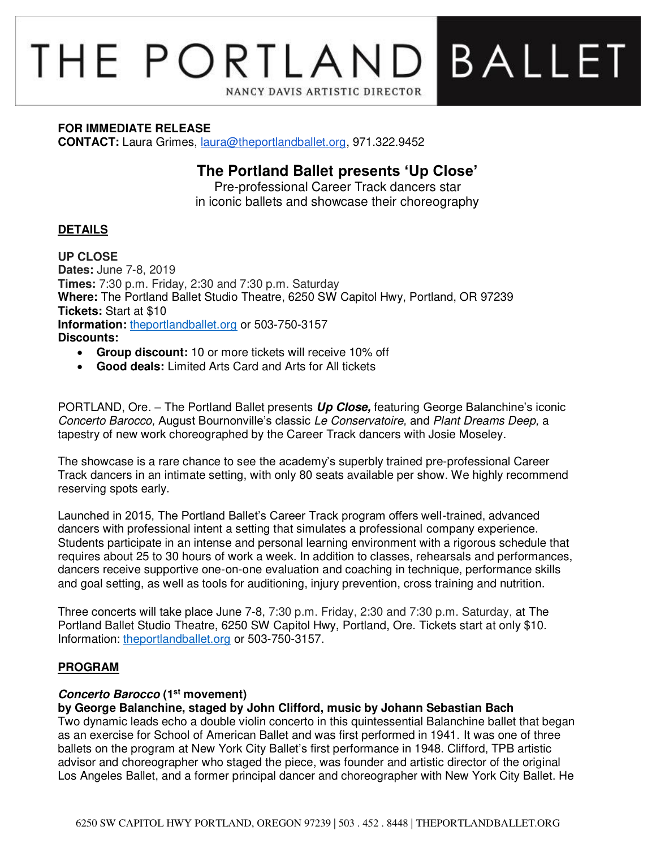# **BALLET** THE PORTLAND NANCY DAVIS ARTISTIC DIRECTOR

#### **FOR IMMEDIATE RELEASE**

**CONTACT:** Laura Grimes, [laura@theportlandballet.org,](mailto:laura@theportlandballet.org) 971.322.9452

# **The Portland Ballet presents 'Up Close'**

Pre-professional Career Track dancers star in iconic ballets and showcase their choreography

# **DETAILS**

**UP CLOSE Dates:** June 7-8, 2019 **Times:** 7:30 p.m. Friday, 2:30 and 7:30 p.m. Saturday **Where:** The Portland Ballet Studio Theatre, 6250 SW Capitol Hwy, Portland, OR 97239 **Tickets:** Start at \$10 **Information:** [theportlandballet.org](https://theportlandballet.org/) or 503-750-3157 **Discounts:** 

- **Group discount:** 10 or more tickets will receive 10% off
- **Good deals:** Limited Arts Card and Arts for All tickets

PORTLAND, Ore. – The Portland Ballet presents **Up Close,** featuring George Balanchine's iconic Concerto Barocco, August Bournonville's classic Le Conservatoire, and Plant Dreams Deep, a tapestry of new work choreographed by the Career Track dancers with Josie Moseley.

The showcase is a rare chance to see the academy's superbly trained pre-professional Career Track dancers in an intimate setting, with only 80 seats available per show. We highly recommend reserving spots early.

Launched in 2015, The Portland Ballet's Career Track program offers well-trained, advanced dancers with professional intent a setting that simulates a professional company experience. Students participate in an intense and personal learning environment with a rigorous schedule that requires about 25 to 30 hours of work a week. In addition to classes, rehearsals and performances, dancers receive supportive one-on-one evaluation and coaching in technique, performance skills and goal setting, as well as tools for auditioning, injury prevention, cross training and nutrition.

Three concerts will take place June 7-8, 7:30 p.m. Friday, 2:30 and 7:30 p.m. Saturday, at The Portland Ballet Studio Theatre, 6250 SW Capitol Hwy, Portland, Ore. Tickets start at only \$10. Information: [theportlandballet.org](https://theportlandballet.org/) or 503-750-3157.

# **PROGRAM**

# **Concerto Barocco (1st movement)**

# **by George Balanchine, staged by John Clifford, music by Johann Sebastian Bach**

Two dynamic leads echo a double violin concerto in this quintessential Balanchine ballet that began as an exercise for School of American Ballet and was first performed in 1941. It was one of three ballets on the program at New York City Ballet's first performance in 1948. Clifford, TPB artistic advisor and choreographer who staged the piece, was founder and artistic director of the original Los Angeles Ballet, and a former principal dancer and choreographer with New York City Ballet. He